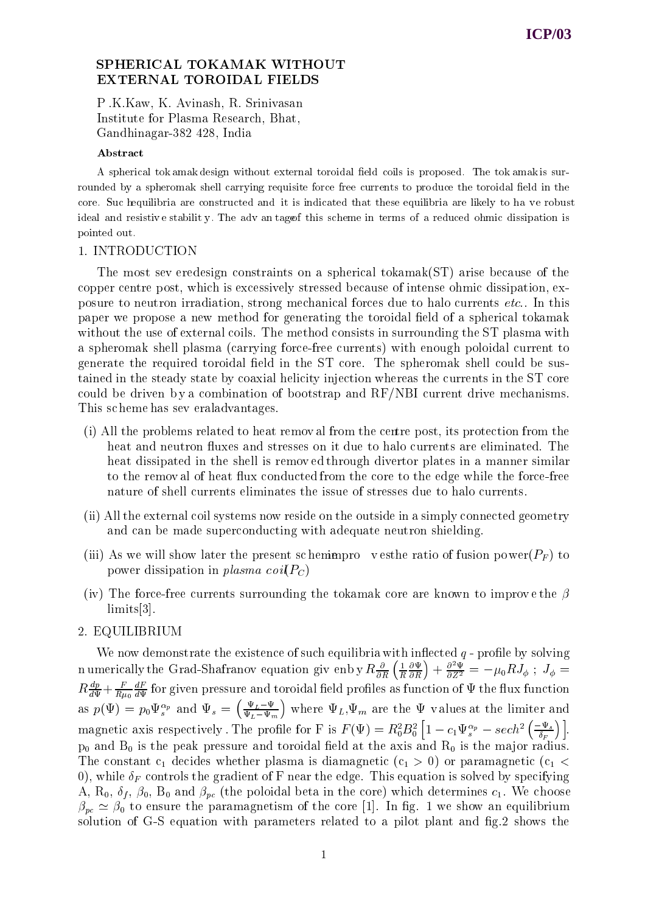# SPHERICAL TOKAMAK WITHOUT

P .K.Kaw, K. Avinash, R. Srinivasan Institute for Plasma Research, Bhat, Gandhinagar-382 428, India

#### Abstract

A spherical tok amak design without external toroidal field coils is proposed. The tok amak is surrounded by a spheromak shell carrying requisite force free currents to produce the toroidal field in the core. Suc hequilibria are constructed and it is indicated that these equilibria are likely to ha ve robust ideal and resistive stability. The adv an tage of this scheme in terms of a reduced ohmic dissipation is pointed out.

#### 1. INTRODUCTION

The most sev eredesign constraints on a spherical tokamak(ST) arise because of the copper centre post, which is excessively stressed because of intense ohmic dissipation, exposure to neutron irradiation, strong mechanical forces due to halo currents etc.. In this paper we propose a new method for generating the toroidal field of a spherical tokamak without the use of external coils. The method consists in surrounding the ST plasma with a spheromak shell plasma (carrying force-free currents) with enough poloidal current to generate the required toroidal field in the ST core. The spheromak shell could be sustained in the steady state by coaxial helicity injection whereas the currents in the ST core could be driven b y a combination of bootstrap and RF/NBI current drive mechanisms. This sc heme has sev eraladvantages.

- (i) All the problems related to heat remov al from the centre post, its protection from the heat and neutron fluxes and stresses on it due to halo currents are eliminated. The heat dissipated in the shell is remov ed through divertor plates in a manner similar to the removal of heat flux conducted from the core to the edge while the force-free nature of shell currents eliminates the issue of stresses due to halo currents.
- (ii) All the external coil systems now reside on the outside in a simply connected geometry and can be made superconducting with adequate neutron shielding.
- (iii) As we will show later the present schemen proves vesthe ratio of fusion power( $P_F$ ) to power dissipation in plasma coil  $P_C$ )
- (iv) The force-free currents surrounding the tokamak core are known to improve the  $\beta$ limits[3].

## 2. EQUILIBRIUM

We now demonstrate the existence of such equilibria with inflected  $q$  - profile by solving n umerically the Grad-Shafranov equation giv enb y  $R \frac{\partial}{\partial R} \left( \frac{1}{R} \frac{\partial \Psi}{\partial R} \right)$  + R  $\left(\frac{\partial \Psi}{\partial R}\right) + \frac{\partial^2 \Psi}{\partial Z^2} = -\mu_0 R J_\phi \, \ ; \ J_\phi = 0$  $K\frac{\partial F}{\partial \Psi}+\frac{\partial F}{\partial \Psi}$  for given pressure and toroidal field profiles as function of  $\Psi$  the flux function as  $p(\Psi) = p_0 \Psi_s^{\alpha p}$  and  $\Psi_s = \left( \frac{\partial f}{\Psi_s - \Psi_s} \right)$  where  $\Psi_L - \Psi_m$  / and  $\Psi$  are the limit of  $\mu$  and  $\mu$  are the limited values at the limited values at the limited values of  $\mu$ magnetic axis respectively . The profile for F is  $F(\Psi)=R_0^2B_0^2\left[1-c_1\Psi_s^{\alpha_p}-sech^2\left(\frac{-\Psi_s}{\delta_F}\right)\right]$ . p0 and B0 is the peak pressure and toroidal eld atthe axis and R0 is the ma jor radius. The constant  $c_1$  decides whether plasma is diamagnetic  $(c_1 > 0)$  or paramagnetic  $(c_1 <$ 0), while  $\delta_F$  controls the gradient of F near the edge. This equation is solved by specifying A,  $\mathcal{R}_0$ ,  $\delta_f$ ,  $\beta_0$ ,  $\mathcal{B}_0$  and  $\beta_{pc}$  (the poloidal beta in the core) which determines  $c_1$ . We choose  $\beta_{pc} \simeq \beta_0$  to ensure the paramagnetism of the core [1]. In fig. 1 we show an equilibrium solution of G-S equation with parameters related to a pilot plant and fig. 2 shows the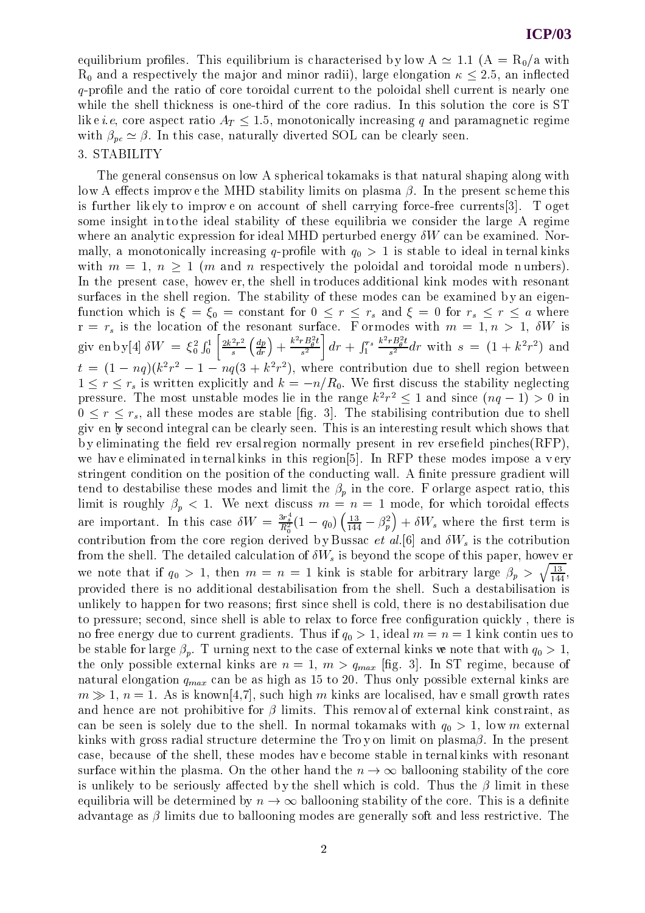## **ICP/03**

equilibrium profiles. This equilibrium is characterised by low  $A \simeq 1.1$  ( $A = R_0/a$  with  $R_0$  and a respectively the major and minor radii), large elongation  $\kappa \leq 2.5$ , an inflected  $q$ -profile and the ratio of core toroidal current to the poloidal shell current is nearly one while the shell thickness is one-third of the core radius. In this solution the core is ST lik e *i.e*, core aspect ratio  $A_T \le 1.5$ , monotonically increasing q and paramagnetic regime with  $\beta_{pc} \simeq \beta$ . In this case, naturally diverted SOL can be clearly seen. 3. STABILITY

The general consensus on low A spherical tokamaks is that natural shaping along with low A effects improve the MHD stability limits on plasma  $\beta$ . In the present scheme this is further lik ely to improv e on account of shell carrying force-free currents[3]. T oget some insight in to the ideal stability of these equilibria we consider the large A regime where an analytic expression for ideal MHD perturbed energy  $\delta W$  can be examined. Normally, a monotonically increasing q-profile with  $q_0 > 1$  is stable to ideal in ternal kinks with  $m = 1$ ,  $n \ge 1$  (*m* and *n* respectively the poloidal and toroidal mode n umbers). In the present case, howev er, the shell in troduces additional kink modes with resonant surfaces in the shell region. The stability of these modes can be examined by an eigenfunction which is <sup>=</sup> 0 <sup>=</sup> constant for <sup>0</sup> <sup>r</sup> rs and <sup>=</sup> <sup>0</sup> for rs <sup>r</sup> <sup>a</sup> where  $\bm{s}$  and the location of the resonant surface. From  $\bm{s}$  and  $\bm{s}$  is a 1, we is 1, we is 1, we is 1, we is 1, we is 1, we is 1, we is 1, we is 1, we is 1, we is 1, we is 1, we is 1, we is 1, we is 1, we is 1, we is giv en b y[4]  $\delta W = \xi_0^2 \int_0^1 \left[ \frac{2k^2 r^2}{s} \left( \frac{dp}{dr} \right) + \frac{k^2 r B_\theta^2 t}{s^2} \right] dr +$  $\left[\frac{rB_\theta^2t}{s^2}\right]dr+\int_{1}^{r_s}\frac{k^2rB_\theta^2t}{s^2}dr$ 11 and 12 and 12 and 12 and 12 and 12 and 12 and 12 and 12 and 12 and 12 and 12 and 12 and 12 and 12 and 12  $\frac{\kappa r_{\text{B}_\theta}r_{\text{B}_\theta}}{s^2}dr$  with  $s = (1 + k^2r^2)$  and  $\iota = (1 - nq)(\kappa)r - 1 - nq(\mathfrak{z} + \kappa)r)$ , where contribution due to shell region between  $1 \leq r \leq r_s$  is written explicitly and  $k = -n/R_0$ . We first discuss the stability neglecting pressure. The most unstable modes he in the range  $\kappa^+ r^- \leq 1$  and since ( $nq = 1$ )  $\geq 0$  in  $0 \leq r \leq r_s$ , all these modes are stable [fig. 3]. The stabilising contribution due to shell giv en by second integral can be clearly seen. This is an interesting result which shows that by eliminating the field rev ersal region normally present in rev ersefield pinches $(RFP)$ , we have eliminated in ternal kinks in this region [5]. In RFP these modes impose a very stringent condition on the position of the conducting wall. A finite pressure gradient will tend to destabilise these modes and limit the  $\beta_p$  in the core. F orlarge aspect ratio, this  $\Omega$  is roughly provided to the next discussion of  $\Omega$  model, for which toroidal extension of which toroidal extension of  $\Omega$ are important. In this case  $\delta W = \frac{3r_s^4}{R_0^2}(1-q_0)\left(\frac{13}{144}-\beta_p^2\right)+\delta W_s$  where the first term is contribution from the core region derived by Bussac *et al.*[6] and  $\delta W_s$  is the cotribution from the shell. The detailed calculation of  $\delta W_s$  is beyond the scope of this paper, howev er we note that if  $q_0 > 1$ , then  $m = n = 1$  kink is stable for arbitrary large  $\beta_p > \sqrt{\frac{13}{144}}$ , provided there is no additional destabilisation from the shell. Such a destabilisation is unlikely to happen for two reasons; first since shell is cold, there is no destabilisation due to pressure; second, since shell is able to relax to force free configuration quickly, there is no free energy due to current gradients. Thus if  $q_0 > 1$ , ideal  $m = n = 1$  kink continues to be stable for large  $\beta_n$ . T urning next to the case of external kinks we note that with  $q_0 > 1$ , the only possible external kinks are  $n = 1, m > q_{max}$  [fig. 3]. In ST regime, because of natural elongation  $q_{max}$  can be as high as 15 to 20. Thus only possible external kinks are  $m \gg 1$ ,  $n = 1$ . As is known[4,7], such high m kinks are localised, have small growth rates and hence are not prohibitive for  $\beta$  limits. This removal of external kink constraint, as can be seen is solely due to the shell. In normal tokamaks with  $q_0 > 1$ , low m external kinks with gross radial structure determine the Tro y on limit on plasma $\beta$ . In the present case, because of the shell, these modes hav e become stable in ternal kinks with resonant surface within the plasma. On the other hand the  $n \to \infty$  ballooning stability of the core is unlikely to be seriously affected by the shell which is cold. Thus the  $\beta$  limit in these equilibria will be determined by  $n \to \infty$  ballooning stability of the core. This is a definite advantage as  $\beta$  limits due to ballooning modes are generally soft and less restrictive. The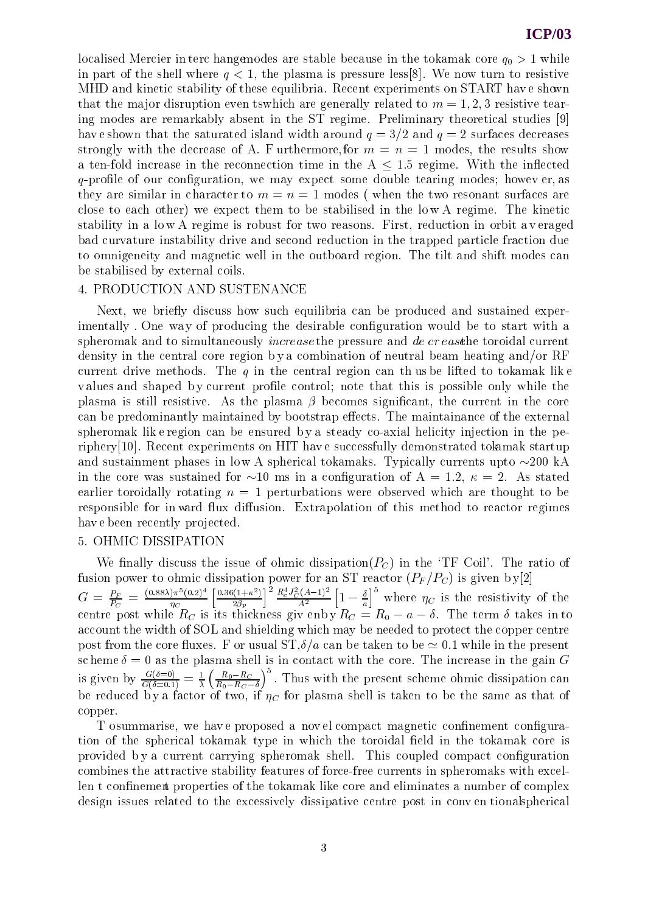localised Mercier in terc hangemodes are stable because in the tokamak core  $q_0 > 1$  while in part of the shell where  $q < 1$ , the plasma is pressure less[8]. We now turn to resistive MHD and kinetic stability of these equilibria. Recent experiments on START have shown that the major disruption even tswhich are generally related to  $m = 1, 2, 3$  resistive tearing modes are remarkably absent in the ST regime. Preliminary theoretical studies [9] have shown that the saturated island width around  $q = 3/2$  and  $q = 2$  surfaces decreases strongly with the decrease of A. F urthermore, for  $m = n = 1$  modes, the results show a ten-fold increase in the reconnection time in the  $A \leq 1.5$  regime. With the inflected  $q$ -profile of our configuration, we may expect some double tearing modes; however, as they are similar in character to  $m = n = 1$  modes (when the two resonant surfaces are close to each other) we expect them to be stabilised in the lo w A regime. The kinetic stability in a lo w A regime is robust for two reasons. First, reduction in orbit a v eraged bad curvature instability drive and second reduction in the trapped particle fraction due to omnigeneity and magnetic well in the outboard region. The tilt and shift modes can be stabilised by external coils.

## 4. PRODUCTION AND SUSTENANCE

Next, we briefly discuss how such equilibria can be produced and sustained experimentally. One way of producing the desirable configuration would be to start with a spheromak and to simultaneously *increase* the pressure and de cr east the toroidal current density in the central core region by a combination of neutral beam heating and/or RF current drive methods. The q in the central region can thus be lifted to tokamak like values and shaped by current profile control; note that this is possible only while the plasma is still resistive. As the plasma  $\beta$  becomes significant, the current in the core can be predominantly maintained by bootstrap effects. The maintainance of the external spheromak lik e region can be ensured b y a steady co-axial helicity injection in the periphery[10]. Recent experiments on HIT hav e successfully demonstrated tokamak startup and sustainment phases in low A spherical tokamaks. Typically currents upto  $\sim$ 200 kA in the core was sustained for  $\sim 10$  ms in a configuration of A = 1.2,  $\kappa = 2$ . As stated earlier toroidally rotating  $n = 1$  perturbations were observed which are thought to be responsible for in ward flux diffusion. Extrapolation of this method to reactor regimes have been recently projected.

## 5. OHMIC DISSIPATION

We finally discuss the issue of ohmic dissipation( $P<sub>C</sub>$ ) in the 'TF Coil'. The ratio of fusion power to ohmic dissipation power for an ST reactor (PF /PC ) is given b y[2]  $G = \frac{P_F}{P_C} = \frac{(0.88\lambda)\pi - (0.2)}{\eta_C} \left[ \frac{0.304\lambda}{2} \right]$  $\sim$  contracts to the contract of the contract of the contract of the contract of the contract of the contract of the contract of the contract of the contract of the contract of the contract of the contract of the contrac  $\left[\frac{0.36(1+\kappa^2)}{2\beta_p}\right]^2 \frac{R_c^* J_C^2 (A-1)^2}{A^2} \left[1-\frac{\delta}{a}\right]$  where  $\eta_C$ where  $\alpha$  is the resistivity of the resistivity of the resistivity of the resistivity of the resistivity of the resistivity of the resistivity of the resistivity of the resistivity of the resistivity of the resistivity o  $c = c \cdot \frac{1}{\sqrt{2}}$  is the term is its thickness given by  $\frac{1}{\sqrt{2}}$  . The term is to take  $\frac{1}{\sqrt{2}}$  , the term is to take  $\frac{1}{\sqrt{2}}$  , the term is to take  $\frac{1}{\sqrt{2}}$  , the term is to take  $\frac{1}{\sqrt{2}}$  , the term i account the width of SOL and shielding which may be needed to protect the copper centre post from the core fluxes. F or usual  $ST,\delta/a$  can be taken to be  $\simeq 0.1$  while in the present sc heme = 0 as the plasma shell is in contact with the core. The increase in the gain G is given by  $\frac{G(\delta=0)}{G(\delta=0.1)}=\frac{1}{\lambda}\left(\frac{R_0-R_C}{R_0-R_C-\delta}\right)^{\delta}$ . Thus with the present scheme ohmic dissipation can be reduced by a factor of two, if  $C$  for plasma shell is taken to be the same as that of the same as that of the same as that of the same as that of the same as that of the same as that of the same as that of the same as copper.

T osummarise, we have proposed a novel compact magnetic confinement configuration of the spherical tokamak type in which the toroidal field in the tokamak core is provided b y a current carrying spheromak shell. This coupled compact conguration combines the attractive stability features of force-free currents in spheromaks with excellen t confinement properties of the tokamak like core and eliminates a number of complex design issues related to the excessively dissipative centre post in conv en tionalspherical